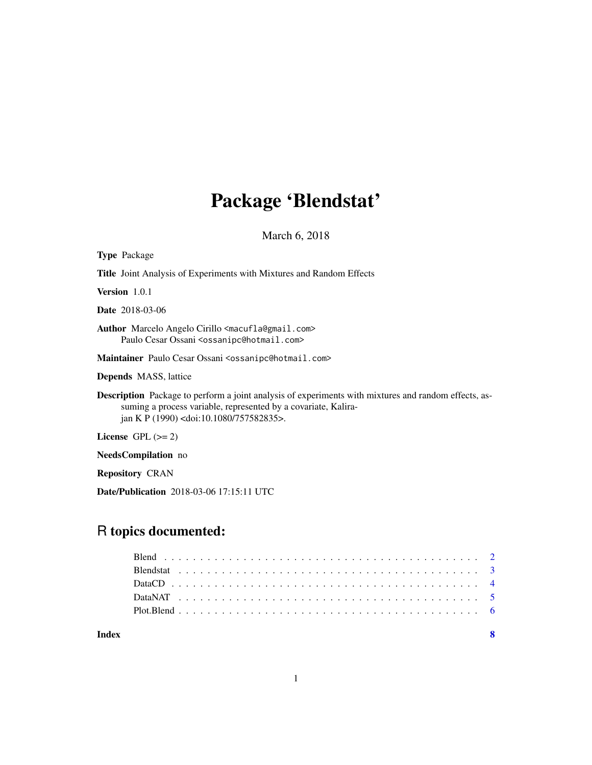# Package 'Blendstat'

March 6, 2018

| <b>Type Package</b>                                                                                                                                                                                                        |
|----------------------------------------------------------------------------------------------------------------------------------------------------------------------------------------------------------------------------|
| <b>Title</b> Joint Analysis of Experiments with Mixtures and Random Effects                                                                                                                                                |
| <b>Version</b> $1.0.1$                                                                                                                                                                                                     |
| <b>Date</b> 2018-03-06                                                                                                                                                                                                     |
| Author Marcelo Angelo Cirillo <macufla@gmail.com><br/>Paulo Cesar Ossani <ossanipc@hotmail.com></ossanipc@hotmail.com></macufla@gmail.com>                                                                                 |
| Maintainer Paulo Cesar Ossani <ossanipc@hotmail.com></ossanipc@hotmail.com>                                                                                                                                                |
| <b>Depends</b> MASS, lattice                                                                                                                                                                                               |
| <b>Description</b> Package to perform a joint analysis of experiments with mixtures and random effects, as-<br>suming a process variable, represented by a covariate, Kalira-<br>ian K P (1990) < doi: 10.1080/757582835>. |
| License $GPL (= 2)$                                                                                                                                                                                                        |
| NeedsCompilation no                                                                                                                                                                                                        |
| <b>Repository CRAN</b>                                                                                                                                                                                                     |

Date/Publication 2018-03-06 17:15:11 UTC

# R topics documented:

| Indev |  |  |  |  |  |  |  |  |  |  |  |  |  |  |  |  |  |  |  |  |  |  |
|-------|--|--|--|--|--|--|--|--|--|--|--|--|--|--|--|--|--|--|--|--|--|--|
|       |  |  |  |  |  |  |  |  |  |  |  |  |  |  |  |  |  |  |  |  |  |  |
|       |  |  |  |  |  |  |  |  |  |  |  |  |  |  |  |  |  |  |  |  |  |  |
|       |  |  |  |  |  |  |  |  |  |  |  |  |  |  |  |  |  |  |  |  |  |  |
|       |  |  |  |  |  |  |  |  |  |  |  |  |  |  |  |  |  |  |  |  |  |  |
|       |  |  |  |  |  |  |  |  |  |  |  |  |  |  |  |  |  |  |  |  |  |  |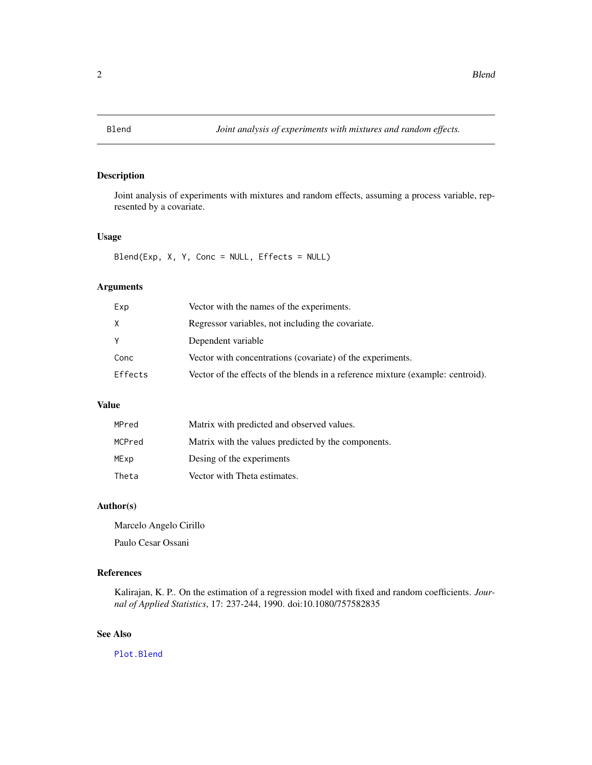<span id="page-1-1"></span><span id="page-1-0"></span>

# Description

Joint analysis of experiments with mixtures and random effects, assuming a process variable, represented by a covariate.

#### Usage

Blend(Exp, X, Y, Conc = NULL, Effects = NULL)

# Arguments

| Exp     | Vector with the names of the experiments.                                       |
|---------|---------------------------------------------------------------------------------|
| X       | Regressor variables, not including the covariate.                               |
| Y       | Dependent variable                                                              |
| Conc    | Vector with concentrations (covariate) of the experiments.                      |
| Effects | Vector of the effects of the blends in a reference mixture (example: centroid). |
|         |                                                                                 |

# Value

| MPred  | Matrix with predicted and observed values.          |
|--------|-----------------------------------------------------|
| MCPred | Matrix with the values predicted by the components. |
| MExp   | Desing of the experiments                           |
| Theta  | Vector with Theta estimates.                        |

#### Author(s)

Marcelo Angelo Cirillo Paulo Cesar Ossani

# References

Kalirajan, K. P.. On the estimation of a regression model with fixed and random coefficients. *Journal of Applied Statistics*, 17: 237-244, 1990. doi:10.1080/757582835

### See Also

[Plot.Blend](#page-5-1)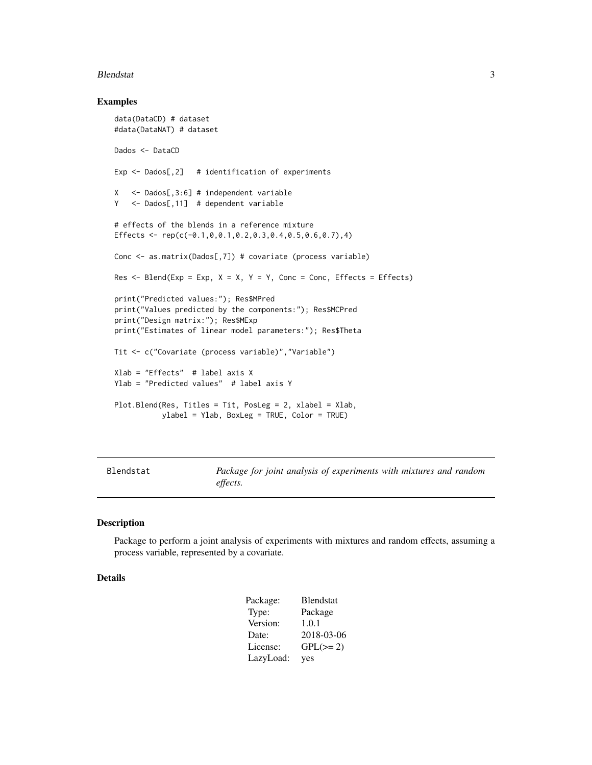#### <span id="page-2-0"></span>Blendstat 3

#### Examples

```
data(DataCD) # dataset
#data(DataNAT) # dataset
Dados <- DataCD
Exp \leq Dados[,2] # identification of experiments
X <- Dados[,3:6] # independent variable
Y <- Dados[,11] # dependent variable
# effects of the blends in a reference mixture
Effects <- rep(c(-0.1,0,0.1,0.2,0.3,0.4,0.5,0.6,0.7),4)
Conc <- as.matrix(Dados[,7]) # covariate (process variable)
Res \leq Blend(Exp = Exp, X = X, Y = Y, Conc = Conc, Effects = Effects)
print("Predicted values:"); Res$MPred
print("Values predicted by the components:"); Res$MCPred
print("Design matrix:"); Res$MExp
print("Estimates of linear model parameters:"); Res$Theta
Tit <- c("Covariate (process variable)","Variable")
Xlab = "Effects" # label axis X
Ylab = "Predicted values" # label axis Y
Plot.Blend(Res, Titles = Tit, PosLeg = 2, xlabel = Xlab,
           ylabel = Ylab, BoxLeg = TRUE, Color = TRUE)
```
Blendstat *Package for joint analysis of experiments with mixtures and random effects.*

#### Description

Package to perform a joint analysis of experiments with mixtures and random effects, assuming a process variable, represented by a covariate.

#### Details

| Package:  | Blendstat     |
|-----------|---------------|
| Type:     | Package       |
| Version:  | 1.0.1         |
| Date:     | 2018-03-06    |
| License:  | $GPL(\geq 2)$ |
| LazyLoad: | yes           |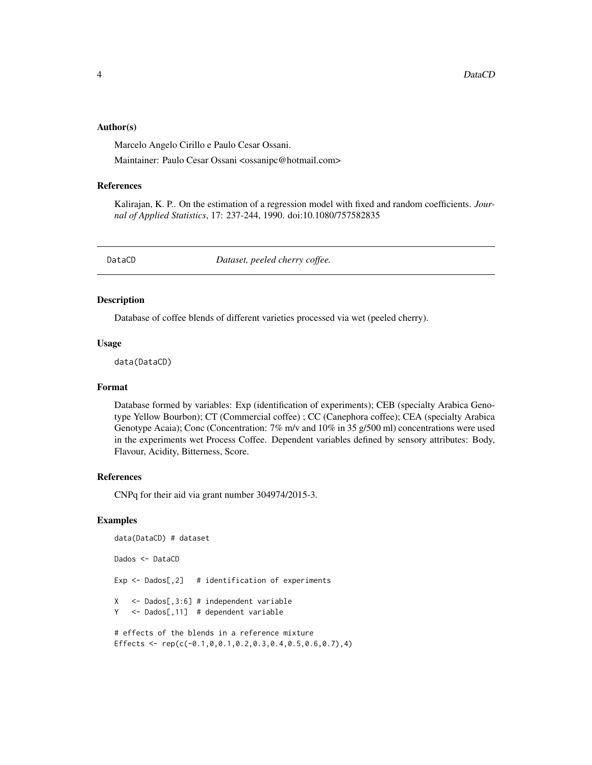#### <span id="page-3-0"></span>Author(s)

Marcelo Angelo Cirillo e Paulo Cesar Ossani.

Maintainer: Paulo Cesar Ossani <ossanipc@hotmail.com>

#### References

Kalirajan, K. P.. On the estimation of a regression model with fixed and random coefficients. *Journal of Applied Statistics*, 17: 237-244, 1990. doi:10.1080/757582835

DataCD *Dataset, peeled cherry coffee.*

#### Description

Database of coffee blends of different varieties processed via wet (peeled cherry).

#### Usage

data(DataCD)

#### Format

Database formed by variables: Exp (identification of experiments); CEB (specialty Arabica Genotype Yellow Bourbon); CT (Commercial coffee) ; CC (Canephora coffee); CEA (specialty Arabica Genotype Acaia); Conc (Concentration: 7% m/v and 10% in 35 g/500 ml) concentrations were used in the experiments wet Process Coffee. Dependent variables defined by sensory attributes: Body, Flavour, Acidity, Bitterness, Score.

### References

CNPq for their aid via grant number 304974/2015-3.

#### Examples

data(DataCD) # dataset Dados <- DataCD Exp  $\leq$  Dados[,2] # identification of experiments X <- Dados[,3:6] # independent variable Y <- Dados[,11] # dependent variable # effects of the blends in a reference mixture Effects <-  $rep(c(-0.1, 0, 0.1, 0.2, 0.3, 0.4, 0.5, 0.6, 0.7), 4)$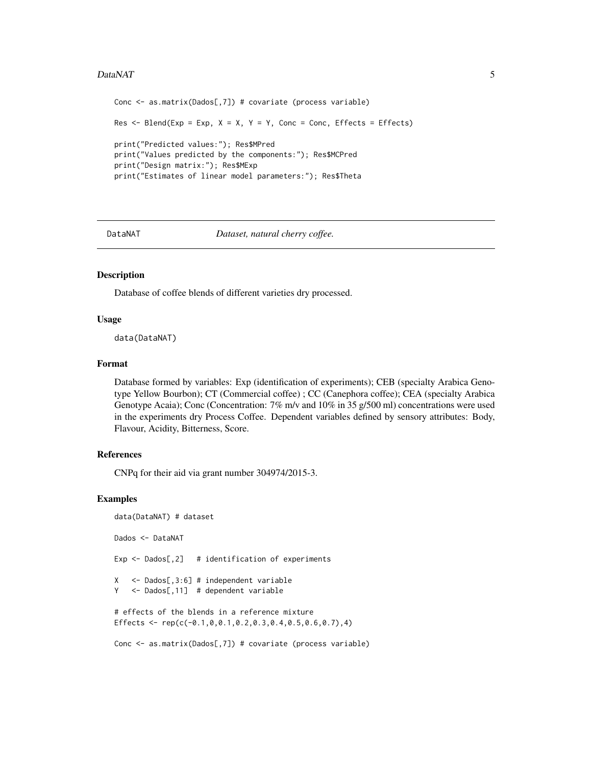#### <span id="page-4-0"></span>DataNAT 5

```
Conc <- as.matrix(Dados[,7]) # covariate (process variable)
Res \leq Blend(Exp = Exp, X = X, Y = Y, Conc = Conc, Effects = Effects)
print("Predicted values:"); Res$MPred
print("Values predicted by the components:"); Res$MCPred
print("Design matrix:"); Res$MExp
print("Estimates of linear model parameters:"); Res$Theta
```
DataNAT *Dataset, natural cherry coffee.*

#### Description

Database of coffee blends of different varieties dry processed.

#### Usage

data(DataNAT)

#### Format

Database formed by variables: Exp (identification of experiments); CEB (specialty Arabica Genotype Yellow Bourbon); CT (Commercial coffee) ; CC (Canephora coffee); CEA (specialty Arabica Genotype Acaia); Conc (Concentration: 7% m/v and 10% in 35 g/500 ml) concentrations were used in the experiments dry Process Coffee. Dependent variables defined by sensory attributes: Body, Flavour, Acidity, Bitterness, Score.

#### References

CNPq for their aid via grant number 304974/2015-3.

#### Examples

```
data(DataNAT) # dataset
Dados <- DataNAT
Exp \leq Dados[,2] # identification of experiments
X <- Dados[,3:6] # independent variable
Y <- Dados[,11] # dependent variable
# effects of the blends in a reference mixture
Effects <- rep(c(-0.1, 0.0.1, 0.2, 0.3, 0.4, 0.5, 0.6, 0.7), 4)Conc <- as.matrix(Dados[,7]) # covariate (process variable)
```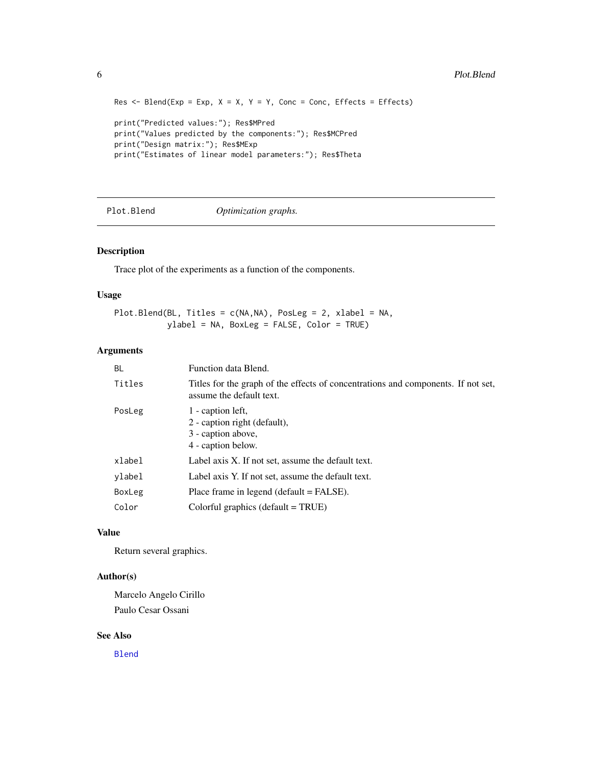```
Res \leq Blend(Exp = Exp, X = X, Y = Y, Conc = Conc, Effects = Effects)
print("Predicted values:"); Res$MPred
print("Values predicted by the components:"); Res$MCPred
print("Design matrix:"); Res$MExp
print("Estimates of linear model parameters:"); Res$Theta
```
<span id="page-5-1"></span>Plot.Blend *Optimization graphs.*

#### Description

Trace plot of the experiments as a function of the components.

#### Usage

```
Plot.Blend(BL, Titles = c(NA,NA), PosLeg = 2, xlabel = NA,
          ylabel = NA, BoxLeg = FALSE, Color = TRUE)
```
# Arguments

| <b>BL</b> | Function data Blend.                                                                                          |
|-----------|---------------------------------------------------------------------------------------------------------------|
| Titles    | Titles for the graph of the effects of concentrations and components. If not set,<br>assume the default text. |
| PosLeg    | 1 - caption left,<br>2 - caption right (default),<br>3 - caption above,<br>4 - caption below.                 |
| xlabel    | Label axis X. If not set, assume the default text.                                                            |
| ylabel    | Label axis Y. If not set, assume the default text.                                                            |
| BoxLeg    | Place frame in legend ( $default = FALSE$ ).                                                                  |
| Color     | Colorful graphics (default $= TRUE$ )                                                                         |

#### Value

Return several graphics.

#### Author(s)

Marcelo Angelo Cirillo Paulo Cesar Ossani

# See Also

[Blend](#page-1-1)

<span id="page-5-0"></span>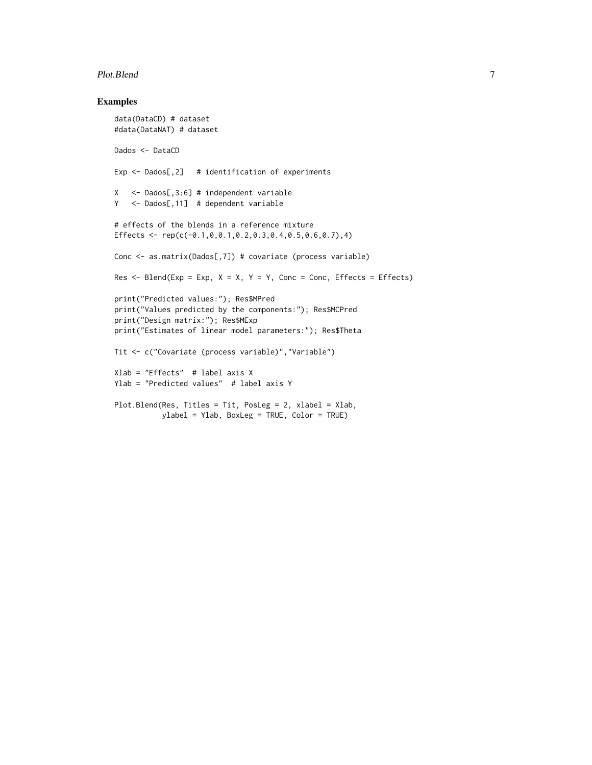#### Plot.Blend 7

## Examples

```
data(DataCD) # dataset
#data(DataNAT) # dataset
Dados <- DataCD
Exp \leq Dados[,2] # identification of experiments
X <- Dados[,3:6] # independent variable
Y <- Dados[,11] # dependent variable
# effects of the blends in a reference mixture
Effects <- rep(c(-0.1,0,0.1,0.2,0.3,0.4,0.5,0.6,0.7),4)
Conc <- as.matrix(Dados[,7]) # covariate (process variable)
Res \leq Blend(Exp = Exp, X = X, Y = Y, Conc = Conc, Effects = Effects)
print("Predicted values:"); Res$MPred
print("Values predicted by the components:"); Res$MCPred
print("Design matrix:"); Res$MExp
print("Estimates of linear model parameters:"); Res$Theta
Tit <- c("Covariate (process variable)","Variable")
Xlab = "Effects" # label axis X
Ylab = "Predicted values" # label axis Y
Plot.Blend(Res, Titles = Tit, PosLeg = 2, xlabel = Xlab,
          ylabel = Ylab, BoxLeg = TRUE, Color = TRUE)
```